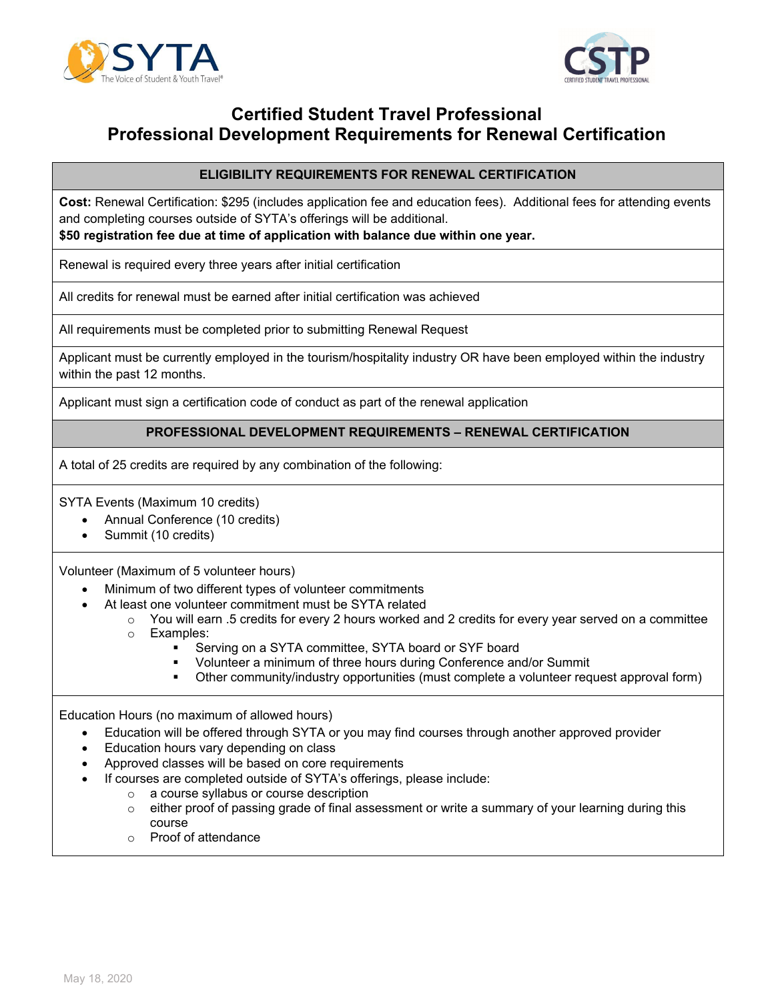



# **Certified Student Travel Professional Professional Development Requirements for Renewal Certification**

### **ELIGIBILITY REQUIREMENTS FOR RENEWAL CERTIFICATION**

**Cost:** Renewal Certification: \$295 (includes application fee and education fees). Additional fees for attending events and completing courses outside of SYTA's offerings will be additional.

**\$50 registration fee due at time of application with balance due within one year.** 

Renewal is required every three years after initial certification

All credits for renewal must be earned after initial certification was achieved

All requirements must be completed prior to submitting Renewal Request

Applicant must be currently employed in the tourism/hospitality industry OR have been employed within the industry within the past 12 months.

Applicant must sign a certification code of conduct as part of the renewal application

#### **PROFESSIONAL DEVELOPMENT REQUIREMENTS – RENEWAL CERTIFICATION**

A total of 25 credits are required by any combination of the following:

SYTA Events (Maximum 10 credits)

- Annual Conference (10 credits)
- Summit (10 credits)

Volunteer (Maximum of 5 volunteer hours)

- Minimum of two different types of volunteer commitments
- At least one volunteer commitment must be SYTA related
	- $\circ$  You will earn .5 credits for every 2 hours worked and 2 credits for every year served on a committee
		- o Examples:
			- Serving on a SYTA committee, SYTA board or SYF board
			- Volunteer a minimum of three hours during Conference and/or Summit
			- Other community/industry opportunities (must complete a volunteer request approval form)

Education Hours (no maximum of allowed hours)

- Education will be offered through SYTA or you may find courses through another approved provider
- Education hours vary depending on class
- Approved classes will be based on core requirements
- If courses are completed outside of SYTA's offerings, please include:
	- o a course syllabus or course description
	- $\circ$  either proof of passing grade of final assessment or write a summary of your learning during this course
	- o Proof of attendance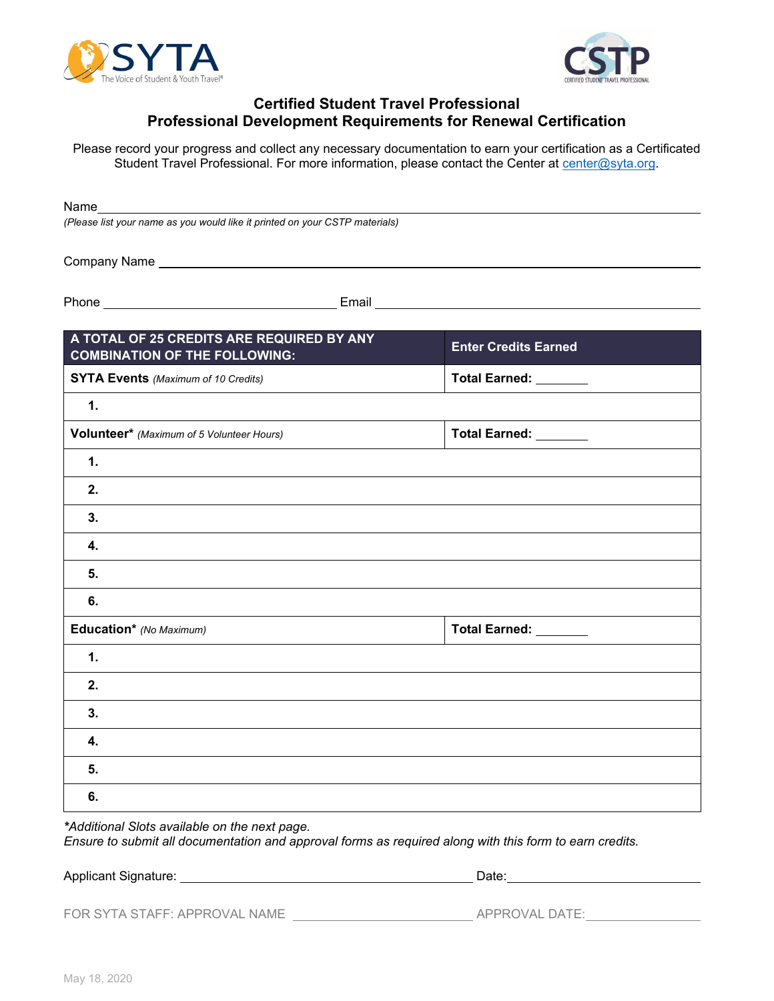



## **Certified Student Travel Professional Professional Development Requirements for Renewal Certification**

Please record your progress and collect any necessary documentation to earn your certification as a Certificated Student Travel Professional. For more information, please contact the Center at center@syta.org.

Name

*(Please list your name as you would like it printed on your CSTP materials)*

Company Name

Phone **Email** 

| A TOTAL OF 25 CREDITS ARE REQUIRED BY ANY<br><b>COMBINATION OF THE FOLLOWING:</b> | <b>Enter Credits Earned</b> |
|-----------------------------------------------------------------------------------|-----------------------------|
| <b>SYTA Events</b> (Maximum of 10 Credits)                                        | Total Earned: ________      |
| 1.                                                                                |                             |
| Volunteer* (Maximum of 5 Volunteer Hours)                                         | Total Earned: _______       |
| 1.                                                                                |                             |
| 2.                                                                                |                             |
| 3.                                                                                |                             |
| 4.                                                                                |                             |
| 5.                                                                                |                             |
| 6.                                                                                |                             |
| Education* (No Maximum)                                                           | Total Earned: _______       |
| $\mathbf 1$ .                                                                     |                             |
| 2.                                                                                |                             |
| 3.                                                                                |                             |
| 4.                                                                                |                             |
| 5.                                                                                |                             |
| 6.                                                                                |                             |

*\*Additional Slots available on the next page.* 

*Ensure to submit all documentation and approval forms as required along with this form to earn credits.* 

Applicant Signature: <u>Date:</u> Date: Date: Date: Date: Date: Date: Date: Date: Date: Date: Date: Date: Date: Date: Date: Date: Date: Date: Date: Date: Date: Date: Date: Date: Date: Date: Date: Date: Date: Date: Date: Date: D

FOR SYTA STAFF: APPROVAL NAME APPROVAL DATE: